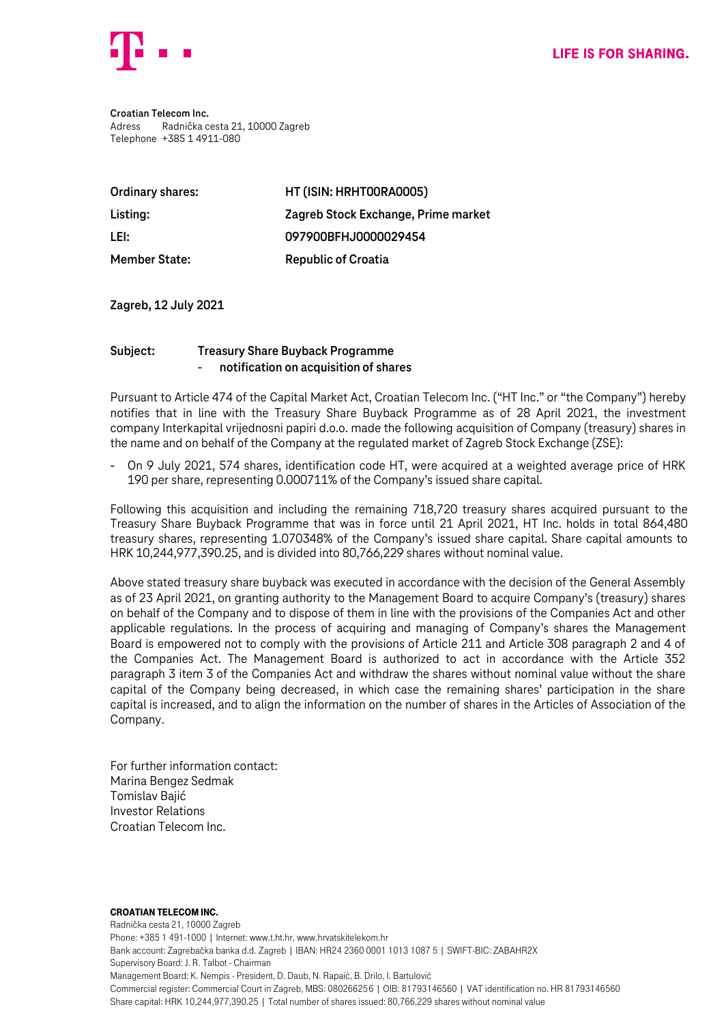

**Croatian Telecom Inc.** Adress Radnička cesta 21, 10000 Zagreb Telephone +385 1 4911-080

| Ordinary shares:     | HT (ISIN: HRHTOORAOOO5)             |
|----------------------|-------------------------------------|
| Listing:             | Zagreb Stock Exchange, Prime market |
| LEI:                 | 097900BFHJ0000029454                |
| <b>Member State:</b> | <b>Republic of Croatia</b>          |

**Zagreb, 12 July 2021**

## **Subject: Treasury Share Buyback Programme** - **notification on acquisition of shares**

Pursuant to Article 474 of the Capital Market Act, Croatian Telecom Inc. ("HT Inc." or "the Company") hereby notifies that in line with the Treasury Share Buyback Programme as of 28 April 2021, the investment company Interkapital vrijednosni papiri d.o.o. made the following acquisition of Company (treasury) shares in the name and on behalf of the Company at the regulated market of Zagreb Stock Exchange (ZSE):

- On 9 July 2021, 574 shares, identification code HT, were acquired at a weighted average price of HRK 190 per share, representing 0.000711% of the Company's issued share capital.

Following this acquisition and including the remaining 718,720 treasury shares acquired pursuant to the Treasury Share Buyback Programme that was in force until 21 April 2021, HT Inc. holds in total 864,480 treasury shares, representing 1.070348% of the Company's issued share capital. Share capital amounts to HRK 10,244,977,390.25, and is divided into 80,766,229 shares without nominal value.

Above stated treasury share buyback was executed in accordance with the decision of the General Assembly as of 23 April 2021, on granting authority to the Management Board to acquire Company's (treasury) shares on behalf of the Company and to dispose of them in line with the provisions of the Companies Act and other applicable regulations. In the process of acquiring and managing of Company's shares the Management Board is empowered not to comply with the provisions of Article 211 and Article 308 paragraph 2 and 4 of the Companies Act. The Management Board is authorized to act in accordance with the Article 352 paragraph 3 item 3 of the Companies Act and withdraw the shares without nominal value without the share capital of the Company being decreased, in which case the remaining shares' participation in the share capital is increased, and to align the information on the number of shares in the Articles of Association of the Company.

For further information contact: Marina Bengez Sedmak Tomislav Bajić Investor Relations Croatian Telecom Inc.

## Croatian Telecom Inc.

Radnička cesta 21, 10000 Zagreb Phone: +385 1 491-1000 | Internet: www.t.ht.hr, www.hrvatskitelekom.hr Bank account: Zagrebačka banka d.d. Zagreb | IBAN: HR24 2360 0001 1013 1087 5 | SWIFT-BIC: ZABAHR2X Supervisory Board: J. R. Talbot - Chairman Management Board: K. Nempis - President, D. Daub, N. Rapaić, B. Drilo, I. Bartulović Commercial register: Commercial Court in Zagreb, MBS: 080266256 | OIB: 81793146560 | VAT identification no. HR 81793146560 Share capital: HRK 10,244,977,390.25 | Total number of shares issued: 80,766,229 shares without nominal value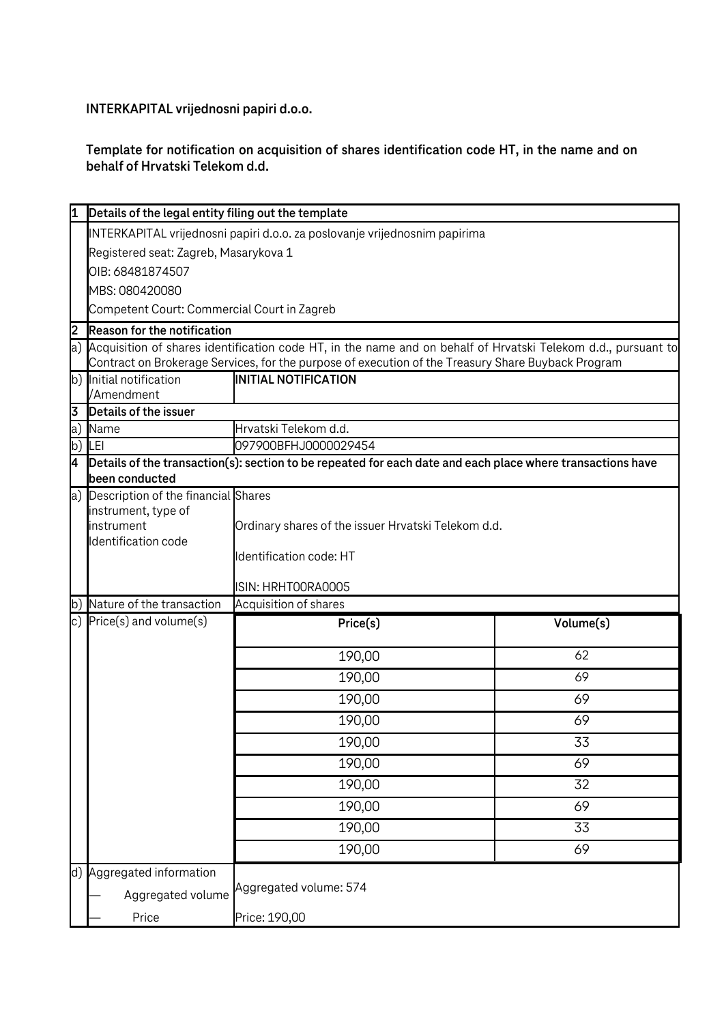**INTERKAPITAL vrijednosni papiri d.o.o.**

## **Template for notification on acquisition of shares identification code HT, in the name and on behalf of Hrvatski Telekom d.d.**

|     | Details of the legal entity filing out the template                                                              |                                                                                                            |           |  |  |
|-----|------------------------------------------------------------------------------------------------------------------|------------------------------------------------------------------------------------------------------------|-----------|--|--|
|     | INTERKAPITAL vrijednosni papiri d.o.o. za poslovanje vrijednosnim papirima                                       |                                                                                                            |           |  |  |
|     | Registered seat: Zagreb, Masarykova 1                                                                            |                                                                                                            |           |  |  |
|     | OIB: 68481874507                                                                                                 |                                                                                                            |           |  |  |
|     | MBS: 080420080                                                                                                   |                                                                                                            |           |  |  |
|     | Competent Court: Commercial Court in Zagreb                                                                      |                                                                                                            |           |  |  |
| 2   | <b>Reason for the notification</b>                                                                               |                                                                                                            |           |  |  |
|     | a) Acquisition of shares identification code HT, in the name and on behalf of Hrvatski Telekom d.d., pursuant to |                                                                                                            |           |  |  |
|     |                                                                                                                  | Contract on Brokerage Services, for the purpose of execution of the Treasury Share Buyback Program         |           |  |  |
| b)  | Initial notification<br>/Amendment                                                                               | <b>INITIAL NOTIFICATION</b>                                                                                |           |  |  |
| 3   | Details of the issuer                                                                                            |                                                                                                            |           |  |  |
| a)  | Name                                                                                                             | Hrvatski Telekom d.d.                                                                                      |           |  |  |
| b)  | LEI                                                                                                              | 097900BFHJ0000029454                                                                                       |           |  |  |
| 4   |                                                                                                                  | Details of the transaction(s): section to be repeated for each date and each place where transactions have |           |  |  |
|     | been conducted                                                                                                   |                                                                                                            |           |  |  |
| a)  | Description of the financial Shares                                                                              |                                                                                                            |           |  |  |
|     | instrument, type of                                                                                              |                                                                                                            |           |  |  |
|     | instrument<br>Identification code                                                                                | Ordinary shares of the issuer Hrvatski Telekom d.d.                                                        |           |  |  |
|     |                                                                                                                  | Identification code: HT                                                                                    |           |  |  |
|     |                                                                                                                  |                                                                                                            |           |  |  |
|     |                                                                                                                  | ISIN: HRHTOORAOOO5                                                                                         |           |  |  |
| lb) | Nature of the transaction                                                                                        | Acquisition of shares                                                                                      |           |  |  |
| c)  | Price(s) and volume(s)                                                                                           | Price(s)                                                                                                   | Volume(s) |  |  |
|     |                                                                                                                  | 190,00                                                                                                     | 62        |  |  |
|     |                                                                                                                  | 190,00                                                                                                     | 69        |  |  |
|     |                                                                                                                  | 190,00                                                                                                     | 69        |  |  |
|     |                                                                                                                  | 190,00                                                                                                     | 69        |  |  |
|     |                                                                                                                  | 190,00                                                                                                     | 33        |  |  |
|     |                                                                                                                  | 190,00                                                                                                     | 69        |  |  |
|     |                                                                                                                  | 190,00                                                                                                     | 32        |  |  |
|     |                                                                                                                  | 190,00                                                                                                     | 69        |  |  |
|     |                                                                                                                  | 190,00                                                                                                     | 33        |  |  |
|     |                                                                                                                  | 190,00                                                                                                     | 69        |  |  |
|     | d) Aggregated information                                                                                        |                                                                                                            |           |  |  |
|     | Aggregated volume                                                                                                | Aggregated volume: 574                                                                                     |           |  |  |
|     | Price                                                                                                            | Price: 190,00                                                                                              |           |  |  |